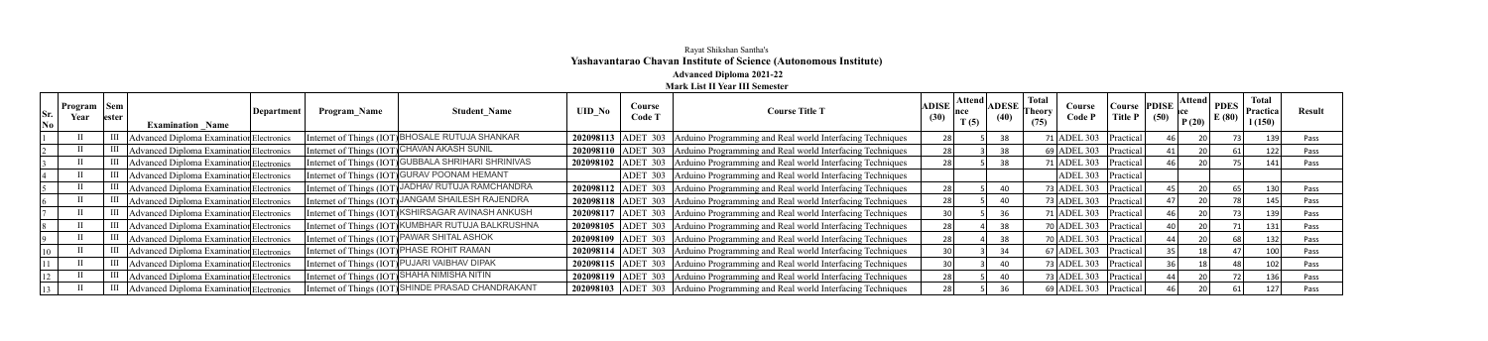## Rayat Shikshan Santha's **Yashavantarao Chavan Institute of Science (Autonomous Institute) Advanced Diploma 2021-22**

## **Mark List II Year III Semester**

| Sr.       | Program   Sem<br>Year | lester |                                          | Department | <b>Program Name</b> | <b>Student Name</b>                                 | <b>UID No</b> | Course<br>Code T | <b>Course Title T</b>                                                        | $\mathbf{ADISE}$ Attend<br>∣nce<br>(30) | <b>ADESE</b><br>(40) | <b>Total</b><br><b>Theory</b> | Course<br>Code P          | Course<br><b>Title P</b> | <b>PDISE</b><br>(50) | $\left  \begin{array}{c c} \text{Attend} & \text{PDES} \end{array} \right $ | E(80) | <b>Total</b><br>Practica | <b>Result</b> |
|-----------|-----------------------|--------|------------------------------------------|------------|---------------------|-----------------------------------------------------|---------------|------------------|------------------------------------------------------------------------------|-----------------------------------------|----------------------|-------------------------------|---------------------------|--------------------------|----------------------|-----------------------------------------------------------------------------|-------|--------------------------|---------------|
| $\bf{No}$ |                       |        | <b>Examination Name</b>                  |            |                     |                                                     |               |                  |                                                                              | T(5)                                    |                      | (75)                          |                           |                          |                      | P(20)                                                                       |       | 1(150)                   |               |
|           |                       |        | Advanced Diploma Examination Electronics |            |                     | Internet of Things (IOT) BHOSALE RUTUJA SHANKAR     |               |                  | 202098113 ADET 303 Arduino Programming and Real world Interfacing Techniques | 28                                      | 38                   |                               | $71$ ADEL 303   Practical |                          |                      |                                                                             |       |                          | Pass          |
|           |                       |        | Advanced Diploma Examination Electronics |            |                     | Internet of Things (IOT) CHAVAN AKASH SUNIL         |               |                  | 202098110 ADET 303 Arduino Programming and Real world Interfacing Techniques | 28                                      | 38                   |                               | $69$ ADEL 303   Practical |                          |                      |                                                                             |       |                          | Pass          |
|           |                       |        | Advanced Diploma Examination Electronics |            |                     | Internet of Things (IOT) GUBBALA SHRIHARI SHRINIVAS |               |                  | 202098102 ADET 303 Arduino Programming and Real world Interfacing Techniques | 28 L                                    |                      |                               | 71 ADEL 303   Practical   |                          |                      |                                                                             |       |                          | Pass          |
|           |                       |        | Advanced Diploma Examination Electronics |            |                     | Internet of Things (IOT) GURAV POONAM HEMANT        |               |                  | ADET 303 Arduino Programming and Real world Interfacing Techniques           |                                         |                      |                               | ADEL 303   Practical      |                          |                      |                                                                             |       |                          |               |
|           |                       |        | Advanced Diploma Examination Electronics |            |                     | Internet of Things (IOT) JADHAV RUTUJA RAMCHANDRA   |               |                  | 202098112 ADET 303 Arduino Programming and Real world Interfacing Techniques | 28                                      |                      |                               | 73 ADEL 303 $ Practical $ |                          |                      |                                                                             |       |                          | Pass          |
|           |                       |        | Advanced Diploma Examination Electronics |            |                     | Internet of Things (IOT) JANGAM SHAILESH RAJENDRA   |               |                  | 202098118 ADET 303 Arduino Programming and Real world Interfacing Techniques | 28                                      |                      |                               | 73 ADEL 303 $ Practical$  |                          |                      |                                                                             |       | 145                      | Pass          |
|           |                       |        | Advanced Diploma Examination Electronics |            |                     | Internet of Things (IOT) KSHIRSAGAR AVINASH ANKUSH  |               |                  | 202098117 ADET 303 Arduino Programming and Real world Interfacing Techniques |                                         |                      |                               | 71 ADEL 303   Practical   |                          |                      |                                                                             |       |                          | Pass          |
|           |                       |        | Advanced Diploma Examination Electronics |            |                     | Internet of Things (IOT) KUMBHAR RUTUJA BALKRUSHNA  |               |                  | 202098105 ADET 303 Arduino Programming and Real world Interfacing Techniques | 28                                      |                      |                               | $70$ ADEL 303   Practical |                          |                      |                                                                             |       |                          | Pass          |
|           |                       |        | Advanced Diploma Examination Electronics |            |                     | Internet of Things (IOT) PAWAR SHITAL ASHOK         |               |                  | 202098109 ADET 303 Arduino Programming and Real world Interfacing Techniques | 28                                      | 38                   |                               | $70$ ADEL 303   Practical |                          |                      |                                                                             |       |                          | Pass          |
|           |                       |        | Advanced Diploma Examination Electronics |            |                     | Internet of Things (IOT) PHASE ROHIT RAMAN          |               |                  | 202098114 ADET 303 Arduino Programming and Real world Interfacing Techniques | 30                                      |                      |                               | $67$ ADEL 303 Practical   |                          |                      |                                                                             |       |                          | Pass          |
|           |                       |        | Advanced Diploma Examination Electronics |            |                     | Internet of Things (IOT) PUJARI VAIBHAV DIPAK       |               |                  | 202098115 ADET 303 Arduino Programming and Real world Interfacing Techniques | 30                                      |                      |                               | 73 ADEL 303 $ Practical $ |                          |                      |                                                                             |       |                          | Pass          |
|           |                       |        | Advanced Diploma Examination Electronics |            |                     | Internet of Things (IOT) SHAHA NIMISHA NITIN        |               |                  | 202098119 ADET 303 Arduino Programming and Real world Interfacing Techniques | 28                                      | 40                   |                               | 73 ADEL 303 $ Practical$  |                          |                      |                                                                             |       |                          | <b>Pass</b>   |
|           |                       | Ш      | Advanced Diploma Examination Electronics |            |                     | Internet of Things (IOT) SHINDE PRASAD CHANDRAKANT  |               |                  | 202098103 ADET 303 Arduino Programming and Real world Interfacing Techniques | 28                                      |                      |                               | 69 ADEL 303   Practical   |                          |                      |                                                                             |       |                          |               |